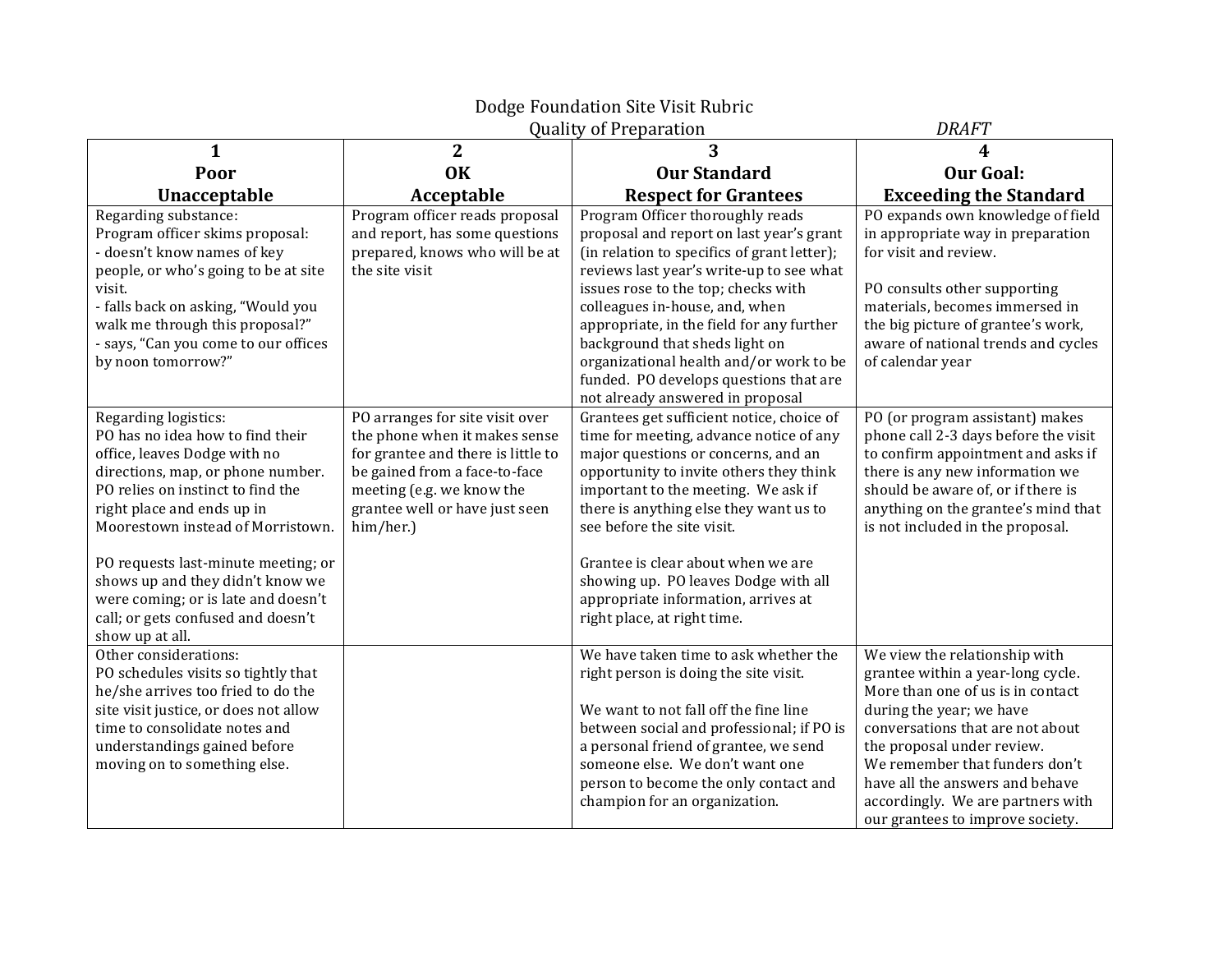| Dodge Foundation Site Visit Rubric                                                                                                                                                                                                                                                                                                                                                            |                                                                                                                                                                                                                     |                                                                                                                                                                                                                                                                                                                                                                                                                                                          |                                                                                                                                                                                                                                                                                                                                                     |  |  |
|-----------------------------------------------------------------------------------------------------------------------------------------------------------------------------------------------------------------------------------------------------------------------------------------------------------------------------------------------------------------------------------------------|---------------------------------------------------------------------------------------------------------------------------------------------------------------------------------------------------------------------|----------------------------------------------------------------------------------------------------------------------------------------------------------------------------------------------------------------------------------------------------------------------------------------------------------------------------------------------------------------------------------------------------------------------------------------------------------|-----------------------------------------------------------------------------------------------------------------------------------------------------------------------------------------------------------------------------------------------------------------------------------------------------------------------------------------------------|--|--|
|                                                                                                                                                                                                                                                                                                                                                                                               | <b>DRAFT</b>                                                                                                                                                                                                        |                                                                                                                                                                                                                                                                                                                                                                                                                                                          |                                                                                                                                                                                                                                                                                                                                                     |  |  |
| $\mathbf{1}$                                                                                                                                                                                                                                                                                                                                                                                  | $\overline{2}$                                                                                                                                                                                                      | 3                                                                                                                                                                                                                                                                                                                                                                                                                                                        | 4                                                                                                                                                                                                                                                                                                                                                   |  |  |
| Poor                                                                                                                                                                                                                                                                                                                                                                                          | <b>OK</b>                                                                                                                                                                                                           | <b>Our Standard</b>                                                                                                                                                                                                                                                                                                                                                                                                                                      | <b>Our Goal:</b>                                                                                                                                                                                                                                                                                                                                    |  |  |
| Unacceptable                                                                                                                                                                                                                                                                                                                                                                                  | Acceptable                                                                                                                                                                                                          | <b>Respect for Grantees</b>                                                                                                                                                                                                                                                                                                                                                                                                                              | <b>Exceeding the Standard</b>                                                                                                                                                                                                                                                                                                                       |  |  |
| Regarding substance:<br>Program officer skims proposal:<br>- doesn't know names of key<br>people, or who's going to be at site<br>visit.<br>- falls back on asking, "Would you<br>walk me through this proposal?"<br>- says, "Can you come to our offices<br>by noon tomorrow?"                                                                                                               | Program officer reads proposal<br>and report, has some questions<br>prepared, knows who will be at<br>the site visit                                                                                                | Program Officer thoroughly reads<br>proposal and report on last year's grant<br>(in relation to specifics of grant letter);<br>reviews last year's write-up to see what<br>issues rose to the top; checks with<br>colleagues in-house, and, when<br>appropriate, in the field for any further<br>background that sheds light on<br>organizational health and/or work to be<br>funded. PO develops questions that are<br>not already answered in proposal | PO expands own knowledge of field<br>in appropriate way in preparation<br>for visit and review.<br>PO consults other supporting<br>materials, becomes immersed in<br>the big picture of grantee's work,<br>aware of national trends and cycles<br>of calendar year                                                                                  |  |  |
| Regarding logistics:<br>PO has no idea how to find their<br>office, leaves Dodge with no<br>directions, map, or phone number.<br>PO relies on instinct to find the<br>right place and ends up in<br>Moorestown instead of Morristown.<br>PO requests last-minute meeting; or<br>shows up and they didn't know we<br>were coming; or is late and doesn't<br>call; or gets confused and doesn't | PO arranges for site visit over<br>the phone when it makes sense<br>for grantee and there is little to<br>be gained from a face-to-face<br>meeting (e.g. we know the<br>grantee well or have just seen<br>him/her.) | Grantees get sufficient notice, choice of<br>time for meeting, advance notice of any<br>major questions or concerns, and an<br>opportunity to invite others they think<br>important to the meeting. We ask if<br>there is anything else they want us to<br>see before the site visit.<br>Grantee is clear about when we are<br>showing up. PO leaves Dodge with all<br>appropriate information, arrives at<br>right place, at right time.                | PO (or program assistant) makes<br>phone call 2-3 days before the visit<br>to confirm appointment and asks if<br>there is any new information we<br>should be aware of, or if there is<br>anything on the grantee's mind that<br>is not included in the proposal.                                                                                   |  |  |
| show up at all.<br>Other considerations:<br>PO schedules visits so tightly that<br>he/she arrives too fried to do the<br>site visit justice, or does not allow<br>time to consolidate notes and<br>understandings gained before<br>moving on to something else.                                                                                                                               |                                                                                                                                                                                                                     | We have taken time to ask whether the<br>right person is doing the site visit.<br>We want to not fall off the fine line<br>between social and professional; if PO is<br>a personal friend of grantee, we send<br>someone else. We don't want one<br>person to become the only contact and<br>champion for an organization.                                                                                                                               | We view the relationship with<br>grantee within a year-long cycle.<br>More than one of us is in contact<br>during the year; we have<br>conversations that are not about<br>the proposal under review.<br>We remember that funders don't<br>have all the answers and behave<br>accordingly. We are partners with<br>our grantees to improve society. |  |  |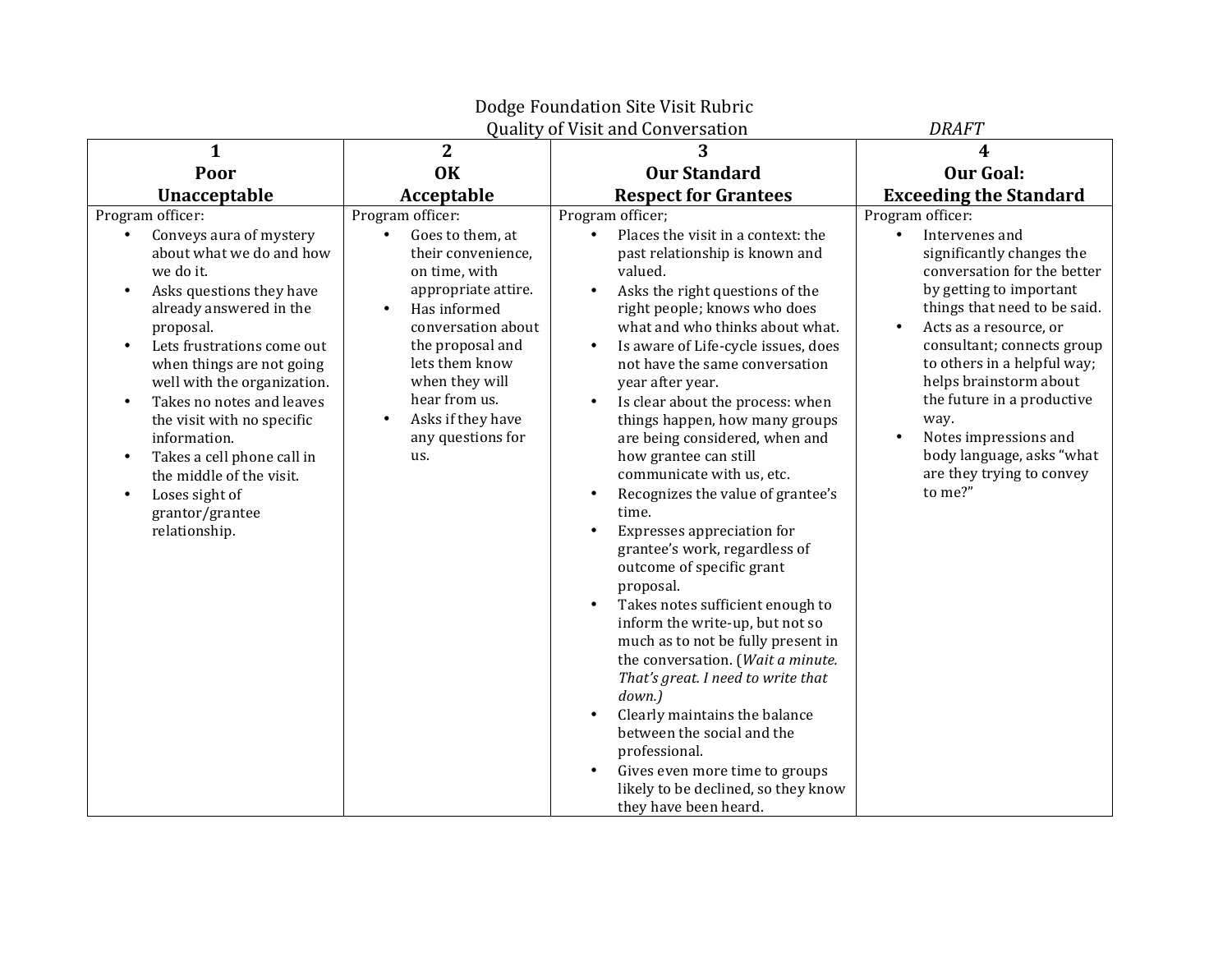|                                                                                                                                                                                                                                                                                                                                                                                                                                                                                                   |                                                                                                                                                                                                                                                                                                           | Dodge Foundation Site Visit Rubric                                                                                                                                                                                                                                                                                                                                                                                                                                                                                                                                                                                                                                                                                                                                                                                                                                                                                                                                                                                                        |                                                                                                                                                                                                                                                                                                                                                                                                                             |
|---------------------------------------------------------------------------------------------------------------------------------------------------------------------------------------------------------------------------------------------------------------------------------------------------------------------------------------------------------------------------------------------------------------------------------------------------------------------------------------------------|-----------------------------------------------------------------------------------------------------------------------------------------------------------------------------------------------------------------------------------------------------------------------------------------------------------|-------------------------------------------------------------------------------------------------------------------------------------------------------------------------------------------------------------------------------------------------------------------------------------------------------------------------------------------------------------------------------------------------------------------------------------------------------------------------------------------------------------------------------------------------------------------------------------------------------------------------------------------------------------------------------------------------------------------------------------------------------------------------------------------------------------------------------------------------------------------------------------------------------------------------------------------------------------------------------------------------------------------------------------------|-----------------------------------------------------------------------------------------------------------------------------------------------------------------------------------------------------------------------------------------------------------------------------------------------------------------------------------------------------------------------------------------------------------------------------|
|                                                                                                                                                                                                                                                                                                                                                                                                                                                                                                   |                                                                                                                                                                                                                                                                                                           | Quality of Visit and Conversation                                                                                                                                                                                                                                                                                                                                                                                                                                                                                                                                                                                                                                                                                                                                                                                                                                                                                                                                                                                                         | <b>DRAFT</b>                                                                                                                                                                                                                                                                                                                                                                                                                |
| $\mathbf{1}$                                                                                                                                                                                                                                                                                                                                                                                                                                                                                      | $\overline{2}$                                                                                                                                                                                                                                                                                            |                                                                                                                                                                                                                                                                                                                                                                                                                                                                                                                                                                                                                                                                                                                                                                                                                                                                                                                                                                                                                                           | 4                                                                                                                                                                                                                                                                                                                                                                                                                           |
| Poor                                                                                                                                                                                                                                                                                                                                                                                                                                                                                              | <b>OK</b>                                                                                                                                                                                                                                                                                                 | <b>Our Standard</b>                                                                                                                                                                                                                                                                                                                                                                                                                                                                                                                                                                                                                                                                                                                                                                                                                                                                                                                                                                                                                       | <b>Our Goal:</b>                                                                                                                                                                                                                                                                                                                                                                                                            |
| Unacceptable                                                                                                                                                                                                                                                                                                                                                                                                                                                                                      | Acceptable                                                                                                                                                                                                                                                                                                | <b>Respect for Grantees</b>                                                                                                                                                                                                                                                                                                                                                                                                                                                                                                                                                                                                                                                                                                                                                                                                                                                                                                                                                                                                               | <b>Exceeding the Standard</b>                                                                                                                                                                                                                                                                                                                                                                                               |
| Program officer:<br>Conveys aura of mystery<br>$\bullet$<br>about what we do and how<br>we do it.<br>Asks questions they have<br>$\bullet$<br>already answered in the<br>proposal.<br>Lets frustrations come out<br>when things are not going<br>well with the organization.<br>Takes no notes and leaves<br>the visit with no specific<br>information.<br>Takes a cell phone call in<br>$\bullet$<br>the middle of the visit.<br>Loses sight of<br>$\bullet$<br>grantor/grantee<br>relationship. | Program officer:<br>Goes to them, at<br>$\bullet$<br>their convenience,<br>on time, with<br>appropriate attire.<br>Has informed<br>$\bullet$<br>conversation about<br>the proposal and<br>lets them know<br>when they will<br>hear from us.<br>Asks if they have<br>$\bullet$<br>any questions for<br>us. | Program officer;<br>Places the visit in a context: the<br>past relationship is known and<br>valued.<br>Asks the right questions of the<br>$\bullet$<br>right people; knows who does<br>what and who thinks about what.<br>Is aware of Life-cycle issues, does<br>not have the same conversation<br>year after year.<br>Is clear about the process: when<br>things happen, how many groups<br>are being considered, when and<br>how grantee can still<br>communicate with us, etc.<br>Recognizes the value of grantee's<br>time.<br>Expresses appreciation for<br>$\bullet$<br>grantee's work, regardless of<br>outcome of specific grant<br>proposal.<br>Takes notes sufficient enough to<br>inform the write-up, but not so<br>much as to not be fully present in<br>the conversation. (Wait a minute.<br>That's great. I need to write that<br>down.)<br>Clearly maintains the balance<br>between the social and the<br>professional.<br>Gives even more time to groups<br>likely to be declined, so they know<br>they have been heard. | Program officer:<br>Intervenes and<br>significantly changes the<br>conversation for the better<br>by getting to important<br>things that need to be said.<br>Acts as a resource, or<br>consultant; connects group<br>to others in a helpful way;<br>helps brainstorm about<br>the future in a productive<br>way.<br>Notes impressions and<br>$\bullet$<br>body language, asks "what<br>are they trying to convey<br>to me?" |